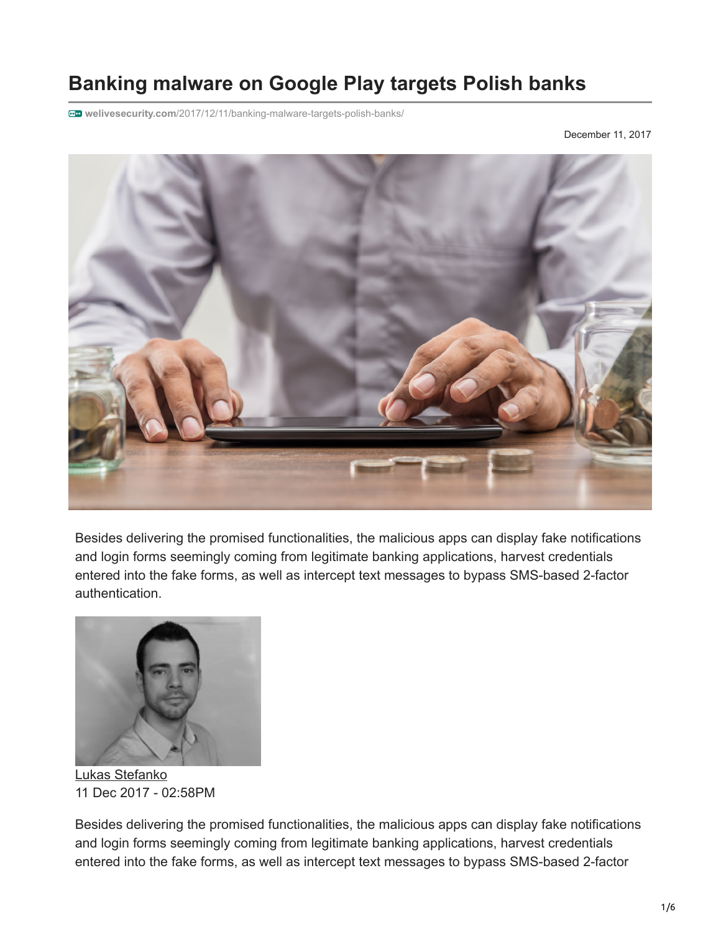# **Banking malware on Google Play targets Polish banks**

**welivesecurity.com**[/2017/12/11/banking-malware-targets-polish-banks/](https://www.welivesecurity.com/2017/12/11/banking-malware-targets-polish-banks/)

December 11, 2017



Besides delivering the promised functionalities, the malicious apps can display fake notifications and login forms seemingly coming from legitimate banking applications, harvest credentials entered into the fake forms, as well as intercept text messages to bypass SMS-based 2-factor authentication.



[Lukas Stefanko](https://www.welivesecurity.com/author/lstefanko/) 11 Dec 2017 - 02:58PM

Besides delivering the promised functionalities, the malicious apps can display fake notifications and login forms seemingly coming from legitimate banking applications, harvest credentials entered into the fake forms, as well as intercept text messages to bypass SMS-based 2-factor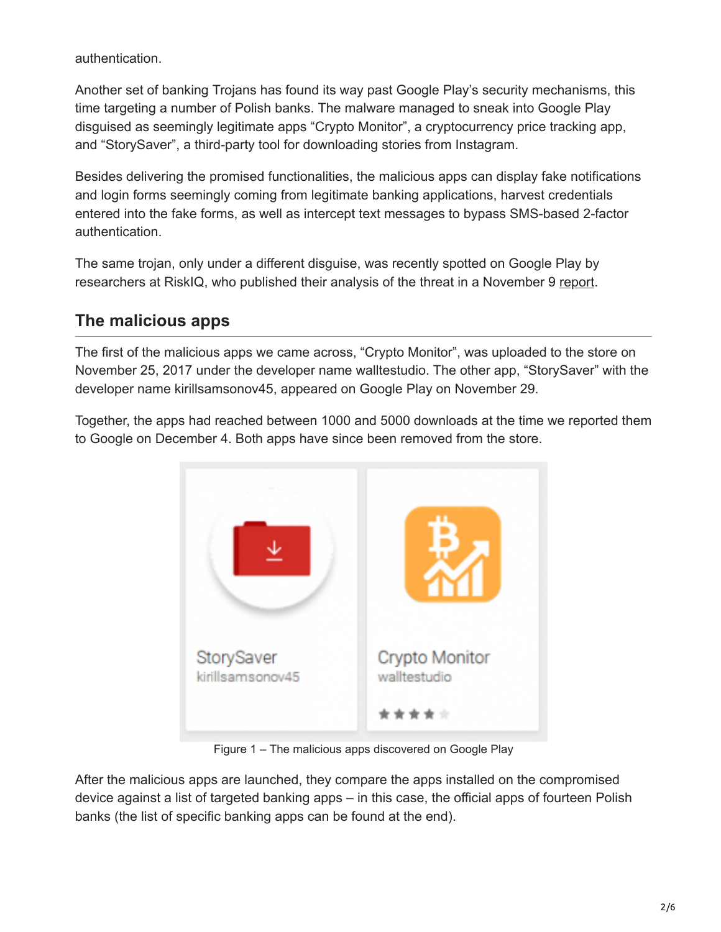authentication.

Another set of banking Trojans has found its way past Google Play's security mechanisms, this time targeting a number of Polish banks. The malware managed to sneak into Google Play disguised as seemingly legitimate apps "Crypto Monitor", a cryptocurrency price tracking app, and "StorySaver", a third-party tool for downloading stories from Instagram.

Besides delivering the promised functionalities, the malicious apps can display fake notifications and login forms seemingly coming from legitimate banking applications, harvest credentials entered into the fake forms, as well as intercept text messages to bypass SMS-based 2-factor authentication.

The same trojan, only under a different disguise, was recently spotted on Google Play by researchers at RiskIQ, who published their analysis of the threat in a November 9 [report.](https://www.riskiq.com/blog/labs/mobile-bankbot/)

# **The malicious apps**

The first of the malicious apps we came across, "Crypto Monitor", was uploaded to the store on November 25, 2017 under the developer name walltestudio. The other app, "StorySaver" with the developer name kirillsamsonov45, appeared on Google Play on November 29.

Together, the apps had reached between 1000 and 5000 downloads at the time we reported them to Google on December 4. Both apps have since been removed from the store.



Figure 1 – The malicious apps discovered on Google Play

After the malicious apps are launched, they compare the apps installed on the compromised device against a list of targeted banking apps – in this case, the official apps of fourteen Polish banks (the list of specific banking apps can be found at the end).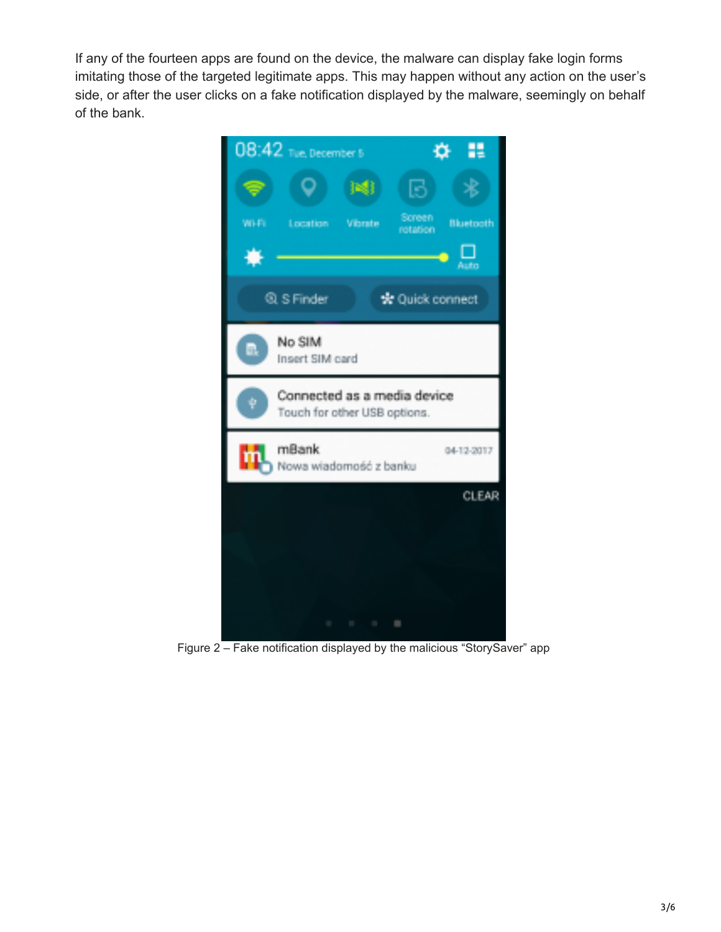If any of the fourteen apps are found on the device, the malware can display fake login forms imitating those of the targeted legitimate apps. This may happen without any action on the user's side, or after the user clicks on a fake notification displayed by the malware, seemingly on behalf of the bank.



Figure 2 – Fake notification displayed by the malicious "StorySaver" app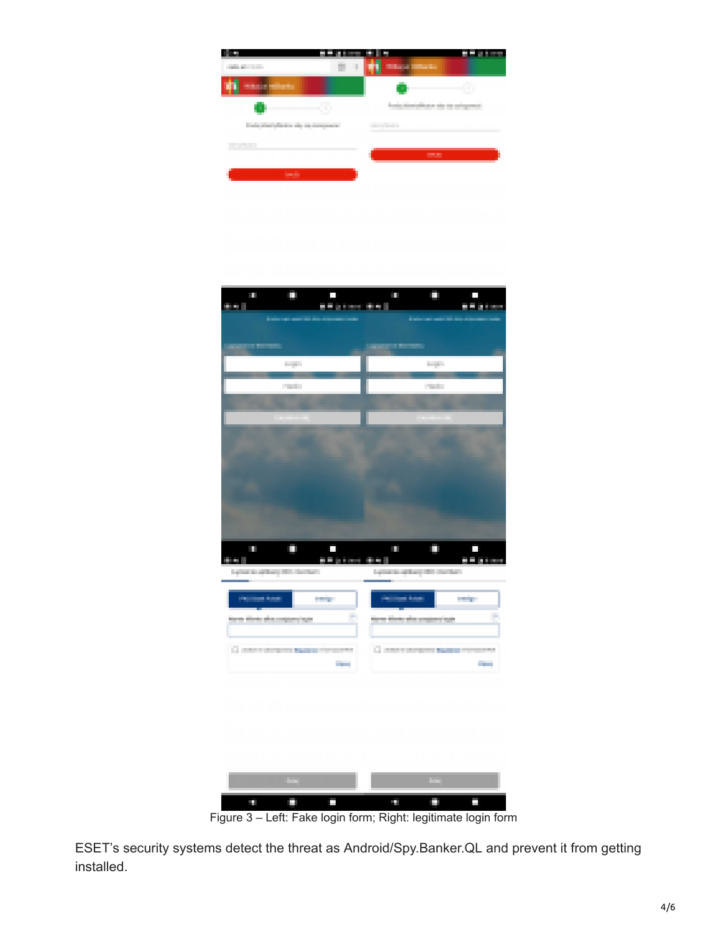





Figure 3 – Left: Fake login form; Right: legitimate login form

ESET's security systems detect the threat as Android/Spy.Banker.QL and prevent it from getting installed.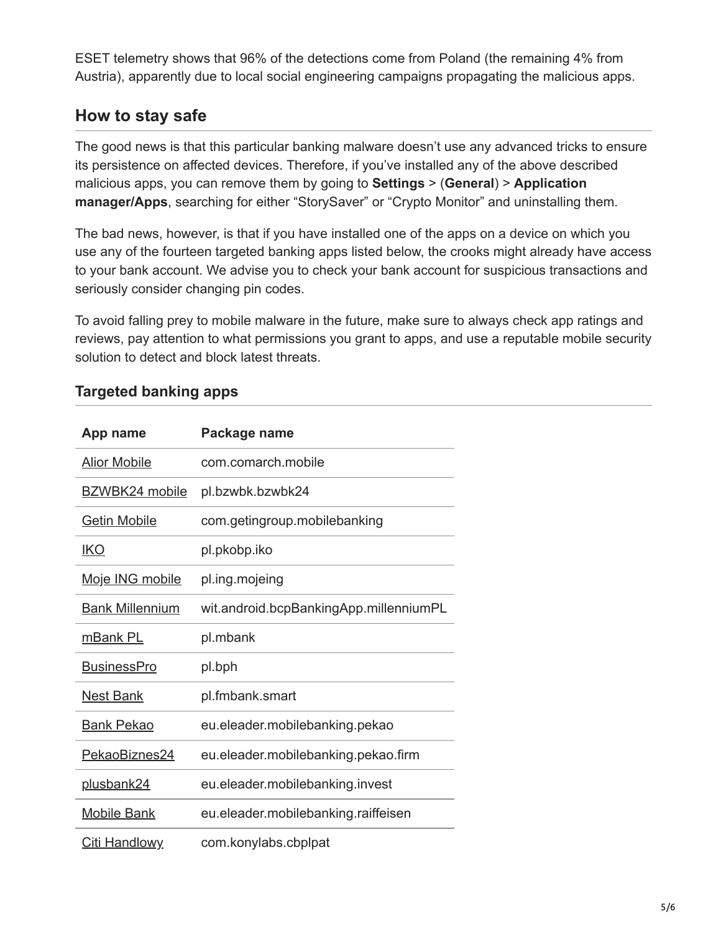ESET telemetry shows that 96% of the detections come from Poland (the remaining 4% from Austria), apparently due to local social engineering campaigns propagating the malicious apps.

## **How to stay safe**

The good news is that this particular banking malware doesn't use any advanced tricks to ensure its persistence on affected devices. Therefore, if you've installed any of the above described malicious apps, you can remove them by going to **Settings** > (**General**) > **Application manager/Apps**, searching for either "StorySaver" or "Crypto Monitor" and uninstalling them.

The bad news, however, is that if you have installed one of the apps on a device on which you use any of the fourteen targeted banking apps listed below, the crooks might already have access to your bank account. We advise you to check your bank account for suspicious transactions and seriously consider changing pin codes.

To avoid falling prey to mobile malware in the future, make sure to always check app ratings and reviews, pay attention to what permissions you grant to apps, and use a reputable mobile security solution to detect and block latest threats.

| App name               | Package name                           |
|------------------------|----------------------------------------|
| <b>Alior Mobile</b>    | com.comarch.mobile                     |
| BZWBK24 mobile         | pl.bzwbk.bzwbk24                       |
| <b>Getin Mobile</b>    | com.getingroup.mobilebanking           |
| <b>IKO</b>             | pl.pkobp.iko                           |
| Moje ING mobile        | pl.ing.mojeing                         |
| <b>Bank Millennium</b> | wit.android.bcpBankingApp.millenniumPL |
| mBank PL               | pl.mbank                               |
| <b>BusinessPro</b>     | pl.bph                                 |
| <b>Nest Bank</b>       | pl.fmbank.smart                        |
| <b>Bank Pekao</b>      | eu.eleader.mobilebanking.pekao         |
| PekaoBiznes24          | eu.eleader.mobilebanking.pekao.firm    |
| plusbank24             | eu.eleader.mobilebanking.invest        |
| <b>Mobile Bank</b>     | eu.eleader.mobilebanking.raiffeisen    |
| <u>Citi Handlowy</u>   | com.konylabs.cbplpat                   |

### **Targeted banking apps**